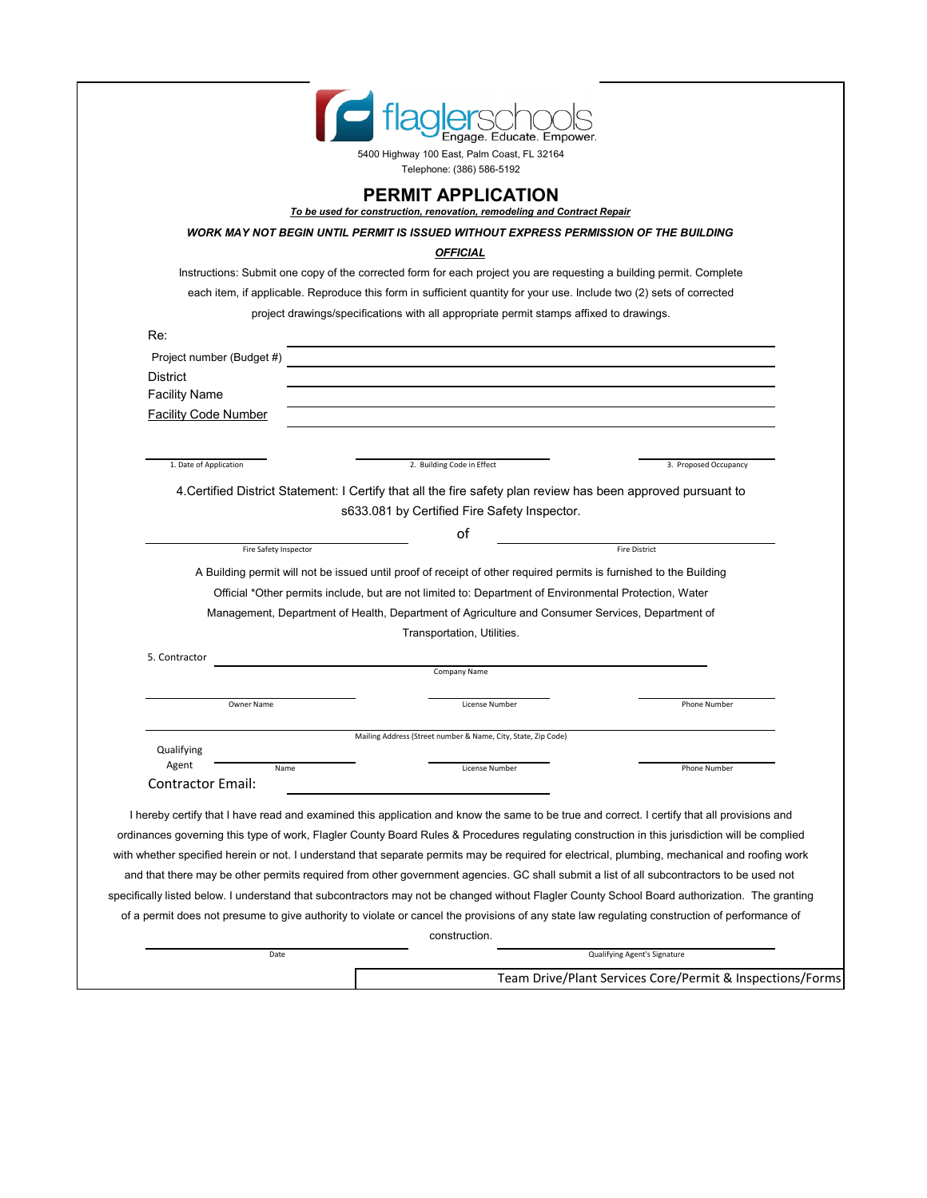| To be used for construction, renovation, remodeling and Contract Repair<br>WORK MAY NOT BEGIN UNTIL PERMIT IS ISSUED WITHOUT EXPRESS PERMISSION OF THE BUILDING<br><b>OFFICIAL</b><br>Instructions: Submit one copy of the corrected form for each project you are requesting a building permit. Complete<br>each item, if applicable. Reproduce this form in sufficient quantity for your use. Include two (2) sets of corrected |                                                                                                                                                   |
|-----------------------------------------------------------------------------------------------------------------------------------------------------------------------------------------------------------------------------------------------------------------------------------------------------------------------------------------------------------------------------------------------------------------------------------|---------------------------------------------------------------------------------------------------------------------------------------------------|
|                                                                                                                                                                                                                                                                                                                                                                                                                                   |                                                                                                                                                   |
|                                                                                                                                                                                                                                                                                                                                                                                                                                   |                                                                                                                                                   |
|                                                                                                                                                                                                                                                                                                                                                                                                                                   |                                                                                                                                                   |
|                                                                                                                                                                                                                                                                                                                                                                                                                                   |                                                                                                                                                   |
| project drawings/specifications with all appropriate permit stamps affixed to drawings.                                                                                                                                                                                                                                                                                                                                           |                                                                                                                                                   |
|                                                                                                                                                                                                                                                                                                                                                                                                                                   |                                                                                                                                                   |
|                                                                                                                                                                                                                                                                                                                                                                                                                                   |                                                                                                                                                   |
|                                                                                                                                                                                                                                                                                                                                                                                                                                   |                                                                                                                                                   |
|                                                                                                                                                                                                                                                                                                                                                                                                                                   |                                                                                                                                                   |
|                                                                                                                                                                                                                                                                                                                                                                                                                                   |                                                                                                                                                   |
|                                                                                                                                                                                                                                                                                                                                                                                                                                   |                                                                                                                                                   |
| 2. Building Code in Effect                                                                                                                                                                                                                                                                                                                                                                                                        | 3. Proposed Occupancy                                                                                                                             |
|                                                                                                                                                                                                                                                                                                                                                                                                                                   |                                                                                                                                                   |
| s633.081 by Certified Fire Safety Inspector.                                                                                                                                                                                                                                                                                                                                                                                      |                                                                                                                                                   |
| of                                                                                                                                                                                                                                                                                                                                                                                                                                |                                                                                                                                                   |
|                                                                                                                                                                                                                                                                                                                                                                                                                                   | <b>Fire District</b>                                                                                                                              |
| A Building permit will not be issued until proof of receipt of other required permits is furnished to the Building                                                                                                                                                                                                                                                                                                                |                                                                                                                                                   |
| Official *Other permits include, but are not limited to: Department of Environmental Protection, Water                                                                                                                                                                                                                                                                                                                            |                                                                                                                                                   |
| Management, Department of Health, Department of Agriculture and Consumer Services, Department of                                                                                                                                                                                                                                                                                                                                  |                                                                                                                                                   |
| Transportation, Utilities.                                                                                                                                                                                                                                                                                                                                                                                                        |                                                                                                                                                   |
|                                                                                                                                                                                                                                                                                                                                                                                                                                   |                                                                                                                                                   |
| Company Name                                                                                                                                                                                                                                                                                                                                                                                                                      |                                                                                                                                                   |
|                                                                                                                                                                                                                                                                                                                                                                                                                                   | Phone Number                                                                                                                                      |
|                                                                                                                                                                                                                                                                                                                                                                                                                                   |                                                                                                                                                   |
| Mailing Address (Street number & Name, City, State, Zip Code)                                                                                                                                                                                                                                                                                                                                                                     |                                                                                                                                                   |
|                                                                                                                                                                                                                                                                                                                                                                                                                                   | Phone Number                                                                                                                                      |
|                                                                                                                                                                                                                                                                                                                                                                                                                                   |                                                                                                                                                   |
|                                                                                                                                                                                                                                                                                                                                                                                                                                   |                                                                                                                                                   |
|                                                                                                                                                                                                                                                                                                                                                                                                                                   |                                                                                                                                                   |
|                                                                                                                                                                                                                                                                                                                                                                                                                                   | I hereby certify that I have read and examined this application and know the same to be true and correct. I certify that all provisions and       |
|                                                                                                                                                                                                                                                                                                                                                                                                                                   | ordinances governing this type of work, Flagler County Board Rules & Procedures regulating construction in this jurisdiction will be complied     |
|                                                                                                                                                                                                                                                                                                                                                                                                                                   | with whether specified herein or not. I understand that separate permits may be required for electrical, plumbing, mechanical and roofing work    |
|                                                                                                                                                                                                                                                                                                                                                                                                                                   | 4. Certified District Statement: I Certify that all the fire safety plan review has been approved pursuant to<br>License Number<br>License Number |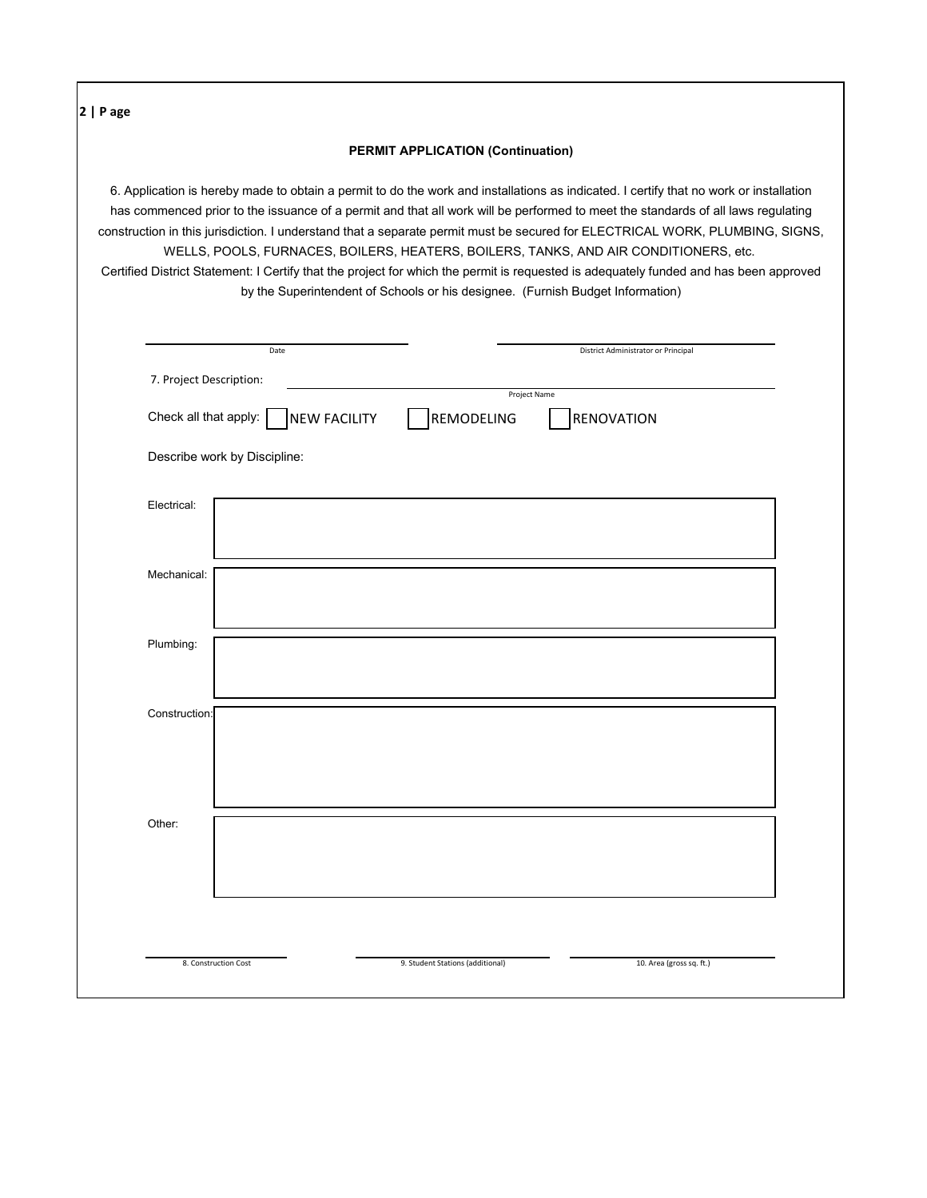**2 | P age** Check all that apply: Describe work by Discipline: Electrical: Mechanical: Plumbing: Construction: Other: by the Superintendent of Schools or his designee. (Furnish Budget Information) Certified District Statement: I Certify that the project for which the permit is requested is adequately funded and has been approved WELLS, POOLS, FURNACES, BOILERS, HEATERS, BOILERS, TANKS, AND AIR CONDITIONERS, etc. construction in this jurisdiction. I understand that a separate permit must be secured for ELECTRICAL WORK, PLUMBING, SIGNS, **PERMIT APPLICATION (Continuation)** 6. Application is hereby made to obtain a permit to do the work and installations as indicated. I certify that no work or installation has commenced prior to the issuance of a permit and that all work will be performed to meet the standards of all laws regulating 9. Student Stations (additional) Date 8. Construction Cost Project Name NEW FACILITY 7. Project Description: 10. Area (gross sq. ft.) District Administrator or Principal REMODELING RENOVATION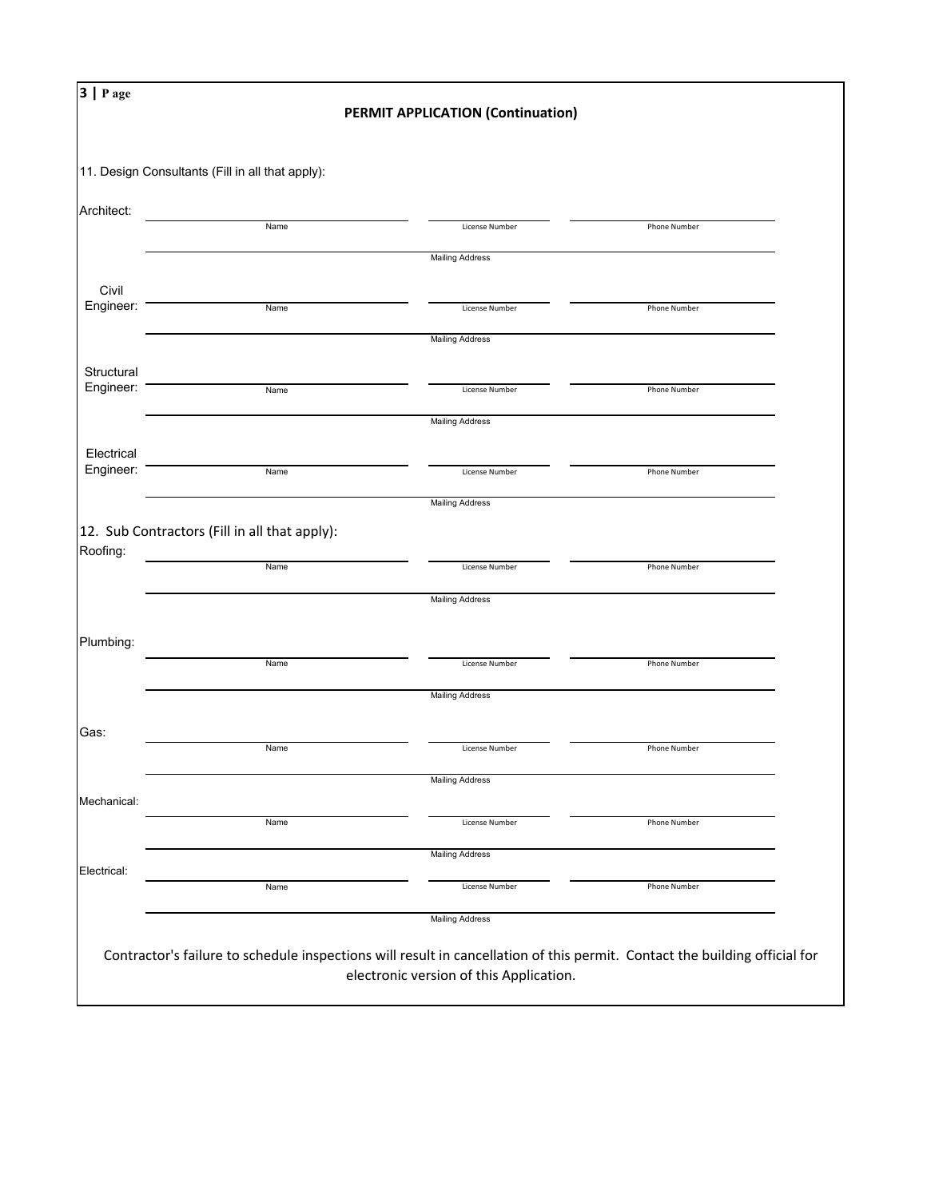|                                                             | 3   P age<br><b>PERMIT APPLICATION (Continuation)</b> |                                          |              |  |  |
|-------------------------------------------------------------|-------------------------------------------------------|------------------------------------------|--------------|--|--|
|                                                             | 11. Design Consultants (Fill in all that apply):      |                                          |              |  |  |
| Architect:                                                  |                                                       |                                          |              |  |  |
|                                                             | Name                                                  | License Number                           | Phone Number |  |  |
|                                                             |                                                       | <b>Mailing Address</b>                   |              |  |  |
| Civil<br>Engineer:                                          | Name                                                  | License Number                           |              |  |  |
|                                                             |                                                       | <b>Mailing Address</b>                   | Phone Number |  |  |
| Structural                                                  |                                                       |                                          |              |  |  |
| Engineer:                                                   | Name                                                  | License Number                           | Phone Number |  |  |
|                                                             |                                                       | <b>Mailing Address</b>                   |              |  |  |
| Electrical                                                  |                                                       |                                          |              |  |  |
| Engineer:                                                   | Name                                                  | License Number                           | Phone Number |  |  |
|                                                             |                                                       | <b>Mailing Address</b>                   |              |  |  |
|                                                             |                                                       |                                          |              |  |  |
|                                                             | 12. Sub Contractors (Fill in all that apply):         |                                          |              |  |  |
|                                                             | Name                                                  | License Number                           | Phone Number |  |  |
|                                                             |                                                       | <b>Mailing Address</b>                   |              |  |  |
|                                                             |                                                       |                                          |              |  |  |
|                                                             | Name                                                  | License Number                           | Phone Number |  |  |
|                                                             |                                                       | <b>Mailing Address</b>                   |              |  |  |
|                                                             | Name                                                  | License Number                           | Phone Number |  |  |
|                                                             |                                                       | <b>Mailing Address</b>                   |              |  |  |
|                                                             |                                                       |                                          |              |  |  |
|                                                             | Name                                                  | License Number                           | Phone Number |  |  |
| Roofing:<br>Plumbing:<br>Gas:<br>Mechanical:<br>Electrical: |                                                       | <b>Mailing Address</b>                   |              |  |  |
|                                                             | Name                                                  | License Number<br><b>Mailing Address</b> | Phone Number |  |  |